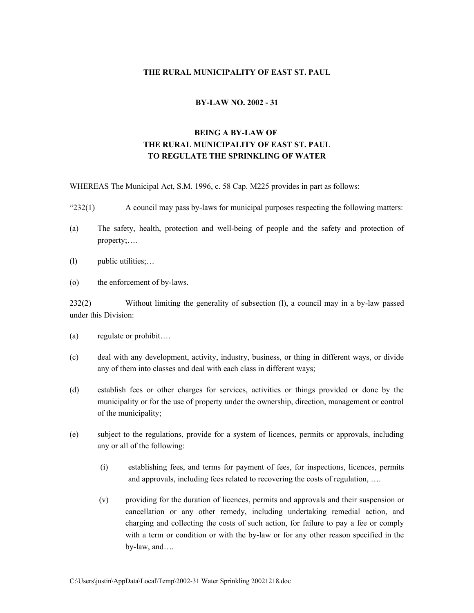# **THE RURAL MUNICIPALITY OF EAST ST. PAUL**

#### **BY-LAW NO. 2002 - 31**

# **BEING A BY-LAW OF THE RURAL MUNICIPALITY OF EAST ST. PAUL TO REGULATE THE SPRINKLING OF WATER**

WHEREAS The Municipal Act, S.M. 1996, c. 58 Cap. M225 provides in part as follows:

- "232(1) A council may pass by-laws for municipal purposes respecting the following matters:
- (a) The safety, health, protection and well-being of people and the safety and protection of property;….
- (l) public utilities;…
- (o) the enforcement of by-laws.

232(2) Without limiting the generality of subsection (l), a council may in a by-law passed under this Division:

- (a) regulate or prohibit….
- (c) deal with any development, activity, industry, business, or thing in different ways, or divide any of them into classes and deal with each class in different ways;
- (d) establish fees or other charges for services, activities or things provided or done by the municipality or for the use of property under the ownership, direction, management or control of the municipality;
- (e) subject to the regulations, provide for a system of licences, permits or approvals, including any or all of the following:
	- (i) establishing fees, and terms for payment of fees, for inspections, licences, permits and approvals, including fees related to recovering the costs of regulation, ….
	- (v) providing for the duration of licences, permits and approvals and their suspension or cancellation or any other remedy, including undertaking remedial action, and charging and collecting the costs of such action, for failure to pay a fee or comply with a term or condition or with the by-law or for any other reason specified in the by-law, and….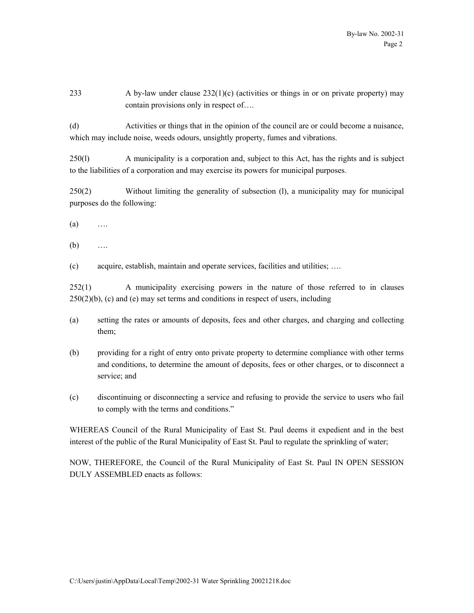233 A by-law under clause  $232(1)(c)$  (activities or things in or on private property) may contain provisions only in respect of….

(d) Activities or things that in the opinion of the council are or could become a nuisance, which may include noise, weeds odours, unsightly property, fumes and vibrations.

250(l) A municipality is a corporation and, subject to this Act, has the rights and is subject to the liabilities of a corporation and may exercise its powers for municipal purposes.

250(2) Without limiting the generality of subsection (l), a municipality may for municipal purposes do the following:

 $(a)$  …

(b) ….

(c) acquire, establish, maintain and operate services, facilities and utilities; ….

252(1) A municipality exercising powers in the nature of those referred to in clauses  $250(2)(b)$ , (c) and (e) may set terms and conditions in respect of users, including

- (a) setting the rates or amounts of deposits, fees and other charges, and charging and collecting them;
- (b) providing for a right of entry onto private property to determine compliance with other terms and conditions, to determine the amount of deposits, fees or other charges, or to disconnect a service; and
- (c) discontinuing or disconnecting a service and refusing to provide the service to users who fail to comply with the terms and conditions."

WHEREAS Council of the Rural Municipality of East St. Paul deems it expedient and in the best interest of the public of the Rural Municipality of East St. Paul to regulate the sprinkling of water;

NOW, THEREFORE, the Council of the Rural Municipality of East St. Paul IN OPEN SESSION DULY ASSEMBLED enacts as follows: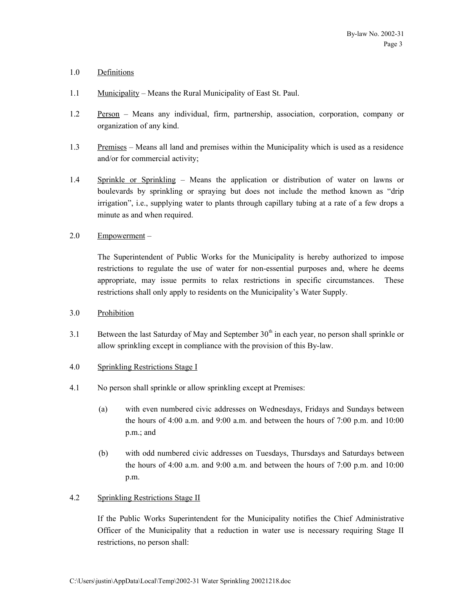# 1.0 Definitions

- 1.1 Municipality Means the Rural Municipality of East St. Paul.
- 1.2 Person Means any individual, firm, partnership, association, corporation, company or organization of any kind.
- 1.3 Premises Means all land and premises within the Municipality which is used as a residence and/or for commercial activity;
- 1.4 Sprinkle or Sprinkling Means the application or distribution of water on lawns or boulevards by sprinkling or spraying but does not include the method known as "drip irrigation", i.e., supplying water to plants through capillary tubing at a rate of a few drops a minute as and when required.
- 2.0 Empowerment –

The Superintendent of Public Works for the Municipality is hereby authorized to impose restrictions to regulate the use of water for non-essential purposes and, where he deems appropriate, may issue permits to relax restrictions in specific circumstances. These restrictions shall only apply to residents on the Municipality's Water Supply.

- 3.0 Prohibition
- 3.1 Between the last Saturday of May and September  $30<sup>th</sup>$  in each year, no person shall sprinkle or allow sprinkling except in compliance with the provision of this By-law.

#### 4.0 Sprinkling Restrictions Stage I

- 4.1 No person shall sprinkle or allow sprinkling except at Premises:
	- (a) with even numbered civic addresses on Wednesdays, Fridays and Sundays between the hours of 4:00 a.m. and 9:00 a.m. and between the hours of 7:00 p.m. and 10:00 p.m.; and
	- (b) with odd numbered civic addresses on Tuesdays, Thursdays and Saturdays between the hours of 4:00 a.m. and 9:00 a.m. and between the hours of 7:00 p.m. and 10:00 p.m.

# 4.2 Sprinkling Restrictions Stage II

If the Public Works Superintendent for the Municipality notifies the Chief Administrative Officer of the Municipality that a reduction in water use is necessary requiring Stage II restrictions, no person shall: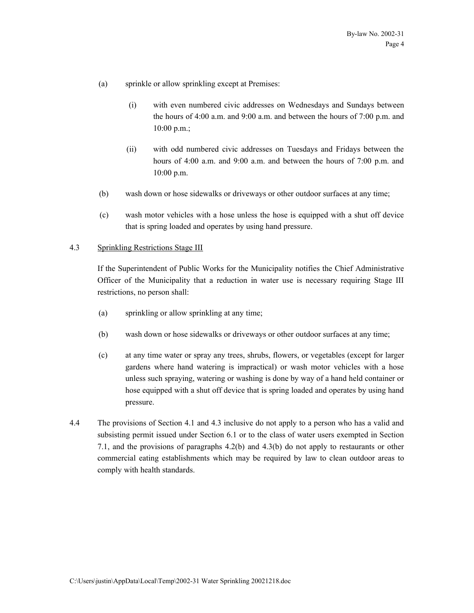- (a) sprinkle or allow sprinkling except at Premises:
	- (i) with even numbered civic addresses on Wednesdays and Sundays between the hours of 4:00 a.m. and 9:00 a.m. and between the hours of 7:00 p.m. and 10:00 p.m.;
	- (ii) with odd numbered civic addresses on Tuesdays and Fridays between the hours of 4:00 a.m. and 9:00 a.m. and between the hours of 7:00 p.m. and 10:00 p.m.
- (b) wash down or hose sidewalks or driveways or other outdoor surfaces at any time;
- (c) wash motor vehicles with a hose unless the hose is equipped with a shut off device that is spring loaded and operates by using hand pressure.

#### 4.3 Sprinkling Restrictions Stage III

If the Superintendent of Public Works for the Municipality notifies the Chief Administrative Officer of the Municipality that a reduction in water use is necessary requiring Stage III restrictions, no person shall:

- (a) sprinkling or allow sprinkling at any time;
- (b) wash down or hose sidewalks or driveways or other outdoor surfaces at any time;
- (c) at any time water or spray any trees, shrubs, flowers, or vegetables (except for larger gardens where hand watering is impractical) or wash motor vehicles with a hose unless such spraying, watering or washing is done by way of a hand held container or hose equipped with a shut off device that is spring loaded and operates by using hand pressure.
- 4.4 The provisions of Section 4.1 and 4.3 inclusive do not apply to a person who has a valid and subsisting permit issued under Section 6.1 or to the class of water users exempted in Section 7.1, and the provisions of paragraphs 4.2(b) and 4.3(b) do not apply to restaurants or other commercial eating establishments which may be required by law to clean outdoor areas to comply with health standards.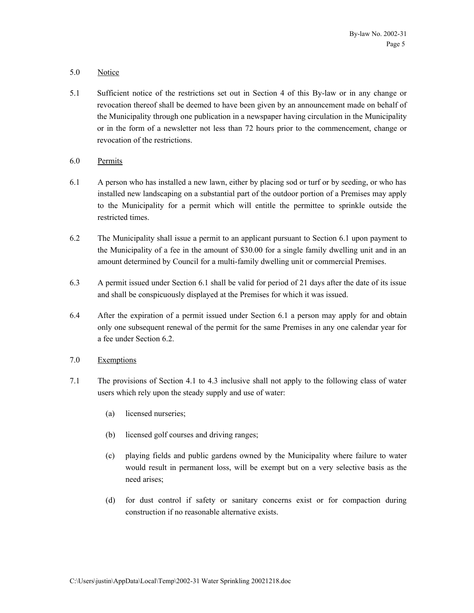# 5.0 Notice

- 5.1 Sufficient notice of the restrictions set out in Section 4 of this By-law or in any change or revocation thereof shall be deemed to have been given by an announcement made on behalf of the Municipality through one publication in a newspaper having circulation in the Municipality or in the form of a newsletter not less than 72 hours prior to the commencement, change or revocation of the restrictions.
- 6.0 Permits
- 6.1 A person who has installed a new lawn, either by placing sod or turf or by seeding, or who has installed new landscaping on a substantial part of the outdoor portion of a Premises may apply to the Municipality for a permit which will entitle the permittee to sprinkle outside the restricted times.
- 6.2 The Municipality shall issue a permit to an applicant pursuant to Section 6.1 upon payment to the Municipality of a fee in the amount of \$30.00 for a single family dwelling unit and in an amount determined by Council for a multi-family dwelling unit or commercial Premises.
- 6.3 A permit issued under Section 6.1 shall be valid for period of 21 days after the date of its issue and shall be conspicuously displayed at the Premises for which it was issued.
- 6.4 After the expiration of a permit issued under Section 6.1 a person may apply for and obtain only one subsequent renewal of the permit for the same Premises in any one calendar year for a fee under Section 6.2.
- 7.0 Exemptions
- 7.1 The provisions of Section 4.1 to 4.3 inclusive shall not apply to the following class of water users which rely upon the steady supply and use of water:
	- (a) licensed nurseries;
	- (b) licensed golf courses and driving ranges;
	- (c) playing fields and public gardens owned by the Municipality where failure to water would result in permanent loss, will be exempt but on a very selective basis as the need arises;
	- (d) for dust control if safety or sanitary concerns exist or for compaction during construction if no reasonable alternative exists.